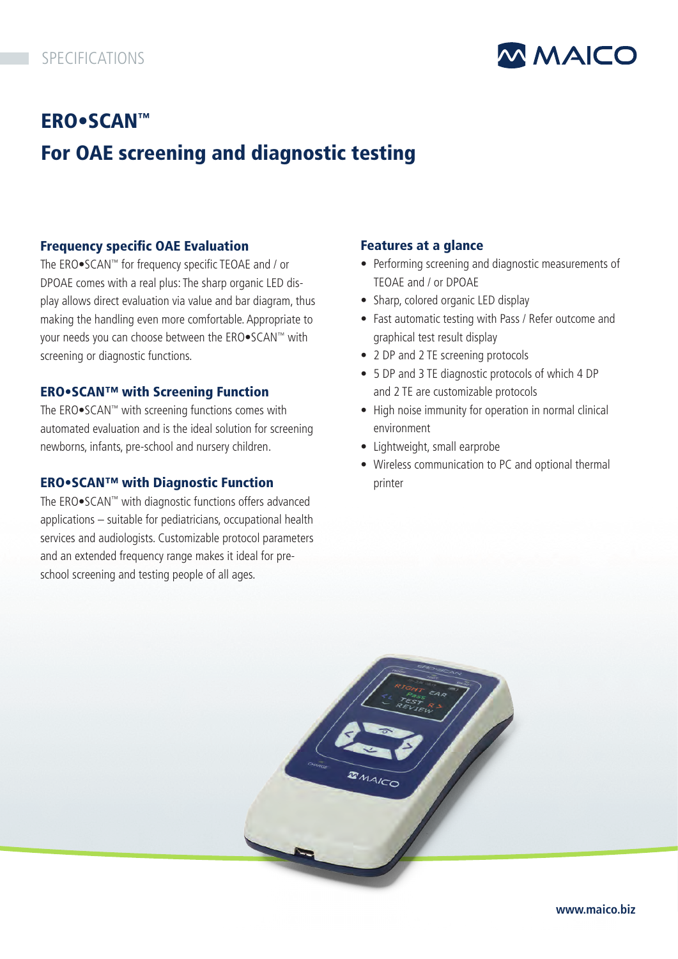

# ERO•SCAN™ For OAE screening and diagnostic testing

## Frequency specific OAE Evaluation

The ERO•SCAN™ for frequency specific TEOAE and / or DPOAE comes with a real plus: The sharp organic LED display allows direct evaluation via value and bar diagram, thus making the handling even more comfortable. Appropriate to your needs you can choose between the ERO•SCAN™ with screening or diagnostic functions.

## ERO•SCAN™ with Screening Function

The ERO•SCAN™ with screening functions comes with automated evaluation and is the ideal solution for screening newborns, infants, pre-school and nursery children.

## ERO•SCAN™ with Diagnostic Function

The ERO•SCAN™ with diagnostic functions offers advanced applications – suitable for pediatricians, occupational health services and audiologists. Customizable protocol parameters and an extended frequency range makes it ideal for preschool screening and testing people of all ages.

## Features at a glance

- Performing screening and diagnostic measurements of TEOAE and / or DPOAE
- Sharp, colored organic LED display
- Fast automatic testing with Pass / Refer outcome and graphical test result display
- 2 DP and 2 TE screening protocols
- 5 DP and 3 TE diagnostic protocols of which 4 DP and 2 TE are customizable protocols
- High noise immunity for operation in normal clinical environment
- Lightweight, small earprobe
- Wireless communication to PC and optional thermal printer